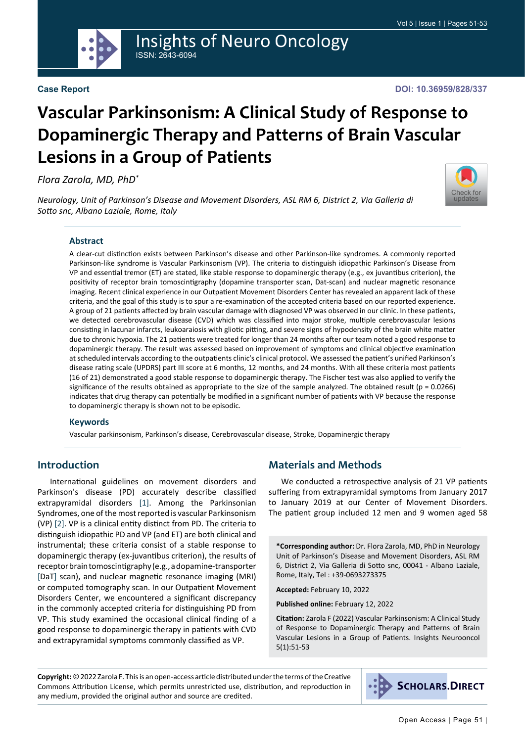

ISSN: 2643-6094

#### **Case Report**

[Check for](http://crossmark.crossref.org/dialog/?doi=10.36959/828/337&domain=pdf) updates

# **Vascular Parkinsonism: A Clinical Study of Response to Dopaminergic Therapy and Patterns of Brain Vascular Lesions in a Group of Patients**

Insights of Neuro Oncology

*Flora Zarola, MD, PhD\**

*Neurology, Unit of Parkinson's Disease and Movement Disorders, ASL RM 6, District 2, Via Galleria di Sotto snc, Albano Laziale, Rome, Italy*

#### **Abstract**

A clear-cut distinction exists between Parkinson's disease and other Parkinson-like syndromes. A commonly reported Parkinson-like syndrome is Vascular Parkinsonism (VP). The criteria to distinguish idiopathic Parkinson's Disease from VP and essential tremor (ET) are stated, like stable response to dopaminergic therapy (e.g., ex juvantibus criterion), the positivity of receptor brain tomoscintigraphy (dopamine transporter scan, Dat-scan) and nuclear magnetic resonance imaging. Recent clinical experience in our Outpatient Movement Disorders Center has revealed an apparent lack of these criteria, and the goal of this study is to spur a re-examination of the accepted criteria based on our reported experience. A group of 21 patients affected by brain vascular damage with diagnosed VP was observed in our clinic. In these patients, we detected cerebrovascular disease (CVD) which was classified into major stroke, multiple cerebrovascular lesions consisting in lacunar infarcts, leukoaraiosis with gliotic pitting, and severe signs of hypodensity of the brain white matter due to chronic hypoxia. The 21 patients were treated for longer than 24 months after our team noted a good response to dopaminergic therapy. The result was assessed based on improvement of symptoms and clinical objective examination at scheduled intervals according to the outpatients clinic's clinical protocol. We assessed the patient's unified Parkinson's disease rating scale (UPDRS) part III score at 6 months, 12 months, and 24 months. With all these criteria most patients (16 of 21) demonstrated a good stable response to dopaminergic therapy. The Fischer test was also applied to verify the significance of the results obtained as appropriate to the size of the sample analyzed. The obtained result (p = 0.0266) indicates that drug therapy can potentially be modified in a significant number of patients with VP because the response to dopaminergic therapy is shown not to be episodic.

#### **Keywords**

Vascular parkinsonism, Parkinson's disease, Cerebrovascular disease, Stroke, Dopaminergic therapy

## **Introduction**

International guidelines on movement disorders and Parkinson's disease (PD) accurately describe classified extrapyramidal disorders [\[1](#page-2-0)]. Among the Parkinsonian Syndromes, one of the most reported is vascular Parkinsonism (VP) [[2\]](#page-2-1). VP is a clinical entity distinct from PD. The criteria to distinguish idiopathic PD and VP (and ET) are both clinical and instrumental; these criteria consist of a stable response to dopaminergic therapy (ex-juvantibus criterion), the results of receptor brain tomoscintigraphy (e.g., a dopamine-transporter [DaT] scan), and nuclear magnetic resonance imaging (MRI) or computed tomography scan. In our Outpatient Movement Disorders Center, we encountered a significant discrepancy in the commonly accepted criteria for distinguishing PD from VP. This study examined the occasional clinical finding of a good response to dopaminergic therapy in patients with CVD and extrapyramidal symptoms commonly classified as VP.

## **Materials and Methods**

We conducted a retrospective analysis of 21 VP patients suffering from extrapyramidal symptoms from January 2017 to January 2019 at our Center of Movement Disorders. The patient group included 12 men and 9 women aged 58

**\*Corresponding author:** Dr. Flora Zarola, MD, PhD in Neurology Unit of Parkinson's Disease and Movement Disorders, ASL RM 6, District 2, Via Galleria di Sotto snc, 00041 - Albano Laziale, Rome, Italy, Tel : +39-0693273375

**Accepted:** February 10, 2022

**Published online:** February 12, 2022

**Citation:** Zarola F (2022) Vascular Parkinsonism: A Clinical Study of Response to Dopaminergic Therapy and Patterns of Brain Vascular Lesions in a Group of Patients. Insights Neurooncol 5(1):51-53

**Copyright:** © 2022 Zarola F. This is an open-access article distributed under the terms of the Creative Commons Attribution License, which permits unrestricted use, distribution, and reproduction in any medium, provided the original author and source are credited.

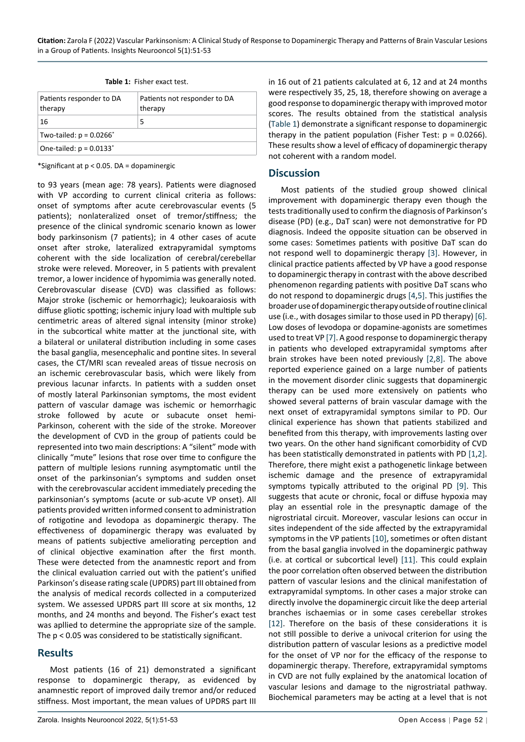| Patients responder to DA<br>therapy | Patients not responder to DA<br>therapy |
|-------------------------------------|-----------------------------------------|
| 16                                  | 5                                       |
| Two-tailed: $p = 0.0266^*$          |                                         |
| One-tailed: $p = 0.0133^*$          |                                         |

<span id="page-1-0"></span>

|  | Table 1: Fisher exact test. |  |
|--|-----------------------------|--|
|  |                             |  |

\*Significant at p < 0.05. DA = dopaminergic

to 93 years (mean age: 78 years). Patients were diagnosed with VP according to current clinical criteria as follows: onset of symptoms after acute cerebrovascular events (5 patients); nonlateralized onset of tremor/stiffness; the presence of the clinical syndromic scenario known as lower body parkinsonism (7 patients); in 4 other cases of acute onset after stroke, lateralized extrapyramidal symptoms coherent with the side localization of cerebral/cerebellar stroke were releved. Moreover, in 5 patients with prevalent tremor, a lower incidence of hypomimia was generally noted. Cerebrovascular disease (CVD) was classified as follows: Major stroke (ischemic or hemorrhagic); leukoaraiosis with diffuse gliotic spotting; ischemic injury load with multiple sub centimetric areas of altered signal intensity (minor stroke) in the subcortical white matter at the junctional site, with a bilateral or unilateral distribution including in some cases the basal ganglia, mesencephalic and pontine sites. In several cases, the CT/MRI scan revealed areas of tissue necrosis on an ischemic cerebrovascular basis, which were likely from previous lacunar infarcts. In patients with a sudden onset of mostly lateral Parkinsonian symptoms, the most evident pattern of vascular damage was ischemic or hemorrhagic stroke followed by acute or subacute onset hemi-Parkinson, coherent with the side of the stroke. Moreover the development of CVD in the group of patients could be represented into two main descriptions: A "silent" mode with clinically "mute" lesions that rose over time to configure the pattern of multiple lesions running asymptomatic until the onset of the parkinsonian's symptoms and sudden onset with the cerebrovascular accident immediately preceding the parkinsonian's symptoms (acute or sub-acute VP onset). All patients provided written informed consent to administration of rotigotine and levodopa as dopaminergic therapy. The effectiveness of dopaminergic therapy was evaluated by means of patients subjective ameliorating perception and of clinical objective examination after the first month. These were detected from the anamnestic report and from the clinical evaluation carried out with the patient's unified Parkinson's disease rating scale (UPDRS) part III obtained from the analysis of medical records collected in a computerized system. We assessed UPDRS part III score at six months, 12 months, and 24 months and beyond. The Fisher's exact test was apllied to determine the appropriate size of the sample. The p < 0.05 was considered to be statistically significant.

## **Results**

Most patients (16 of 21) demonstrated a significant response to dopaminergic therapy, as evidenced by anamnestic report of improved daily tremor and/or reduced stiffness. Most important, the mean values of UPDRS part III

Zarola. Insights Neurooncol 2022, 5(1):51-53 Open Access | Page 52 |

in 16 out of 21 patients calculated at 6, 12 and at 24 months were respectively 35, 25, 18, therefore showing on average a good response to dopaminergic therapy with improved motor scores. The results obtained from the statistical analysis ([Table 1\)](#page-1-0) demonstrate a significant response to dopaminergic therapy in the patient population (Fisher Test:  $p = 0.0266$ ). These results show a level of efficacy of dopaminergic therapy not coherent with a random model.

#### **Discussion**

Most patients of the studied group showed clinical improvement with dopaminergic therapy even though the tests traditionally used to confirm the diagnosis of Parkinson's disease (PD) (e.g., DaT scan) were not demonstrative for PD diagnosis. Indeed the opposite situation can be observed in some cases: Sometimes patients with positive DaT scan do not respond well to dopaminergic therapy [\[3](#page-2-2)]. However, in clinical practice patients affected by VP have a good response to dopaminergic therapy in contrast with the above described phenomenon regarding patients with positive DaT scans who do not respond to dopaminergic drugs [\[4](#page-2-3),[5\]](#page-2-4). This justifies the broader use of dopaminergic therapy outside of routine clinical use (i.e., with dosages similar to those used in PD therapy) [[6\]](#page-2-5). Low doses of levodopa or dopamine-agonists are sometimes used to treat VP [[7\]](#page-2-6). A good response to dopaminergic therapy in patients who developed extrapyramidal symptoms after brain strokes have been noted previously [[2](#page-2-1)[,8](#page-2-7)]. The above reported experience gained on a large number of patients in the movement disorder clinic suggests that dopaminergic therapy can be used more extensively on patients who showed several patterns of brain vascular damage with the next onset of extrapyramidal symptons similar to PD. Our clinical experience has shown that patients stabilized and benefited from this therapy, with improvements lasting over two years. On the other hand significant comorbidity of CVD has been statistically demonstrated in patients with PD [\[1](#page-2-0),[2\]](#page-2-1). Therefore, there might exist a pathogenetic linkage between ischemic damage and the presence of extrapyramidal symptoms typically attributed to the original PD [[9\]](#page-2-8). This suggests that acute or chronic, focal or diffuse hypoxia may play an essential role in the presynaptic damage of the nigrostriatal circuit. Moreover, vascular lesions can occur in sites independent of the side affected by the extrapyramidal symptoms in the VP patients [\[10](#page-2-9)], sometimes or often distant from the basal ganglia involved in the dopaminergic pathway (i.e. at cortical or subcortical level) [\[11](#page-2-10)]. This could explain the poor correlation often observed between the distribution pattern of vascular lesions and the clinical manifestation of extrapyramidal symptoms. In other cases a major stroke can directly involve the dopaminergic circuit like the deep arterial branches ischaemias or in some cases cerebellar strokes [[12\]](#page-2-11). Therefore on the basis of these considerations it is not still possible to derive a univocal criterion for using the distribution pattern of vascular lesions as a predictive model for the onset of VP nor for the efficacy of the response to dopaminergic therapy. Therefore, extrapyramidal symptoms in CVD are not fully explained by the anatomical location of vascular lesions and damage to the nigrostriatal pathway. Biochemical parameters may be acting at a level that is not